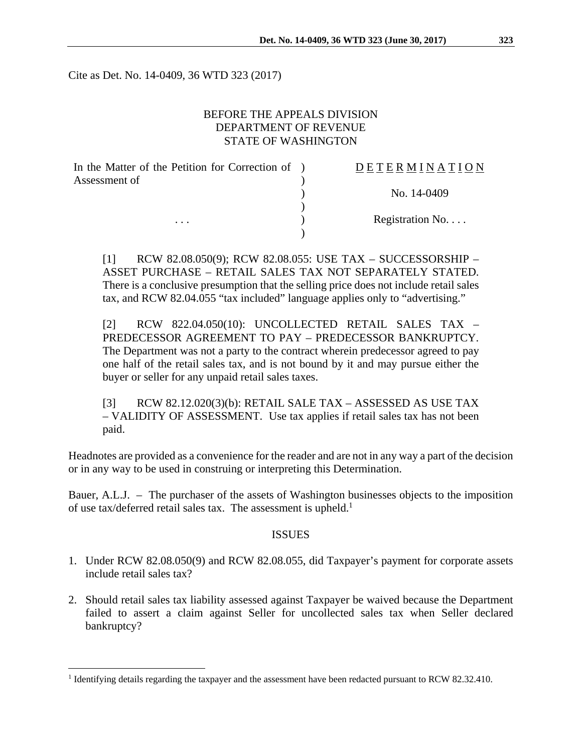Cite as Det. No. 14-0409, 36 WTD 323 (2017)

#### BEFORE THE APPEALS DIVISION DEPARTMENT OF REVENUE STATE OF WASHINGTON

| In the Matter of the Petition for Correction of ) | <b>DETERMINATION</b> |
|---------------------------------------------------|----------------------|
| Assessment of                                     |                      |
|                                                   | No. 14-0409          |
|                                                   |                      |
| $\cdots$                                          | Registration No      |
|                                                   |                      |

[1] RCW 82.08.050(9); RCW 82.08.055: USE TAX – SUCCESSORSHIP – ASSET PURCHASE – RETAIL SALES TAX NOT SEPARATELY STATED. There is a conclusive presumption that the selling price does not include retail sales tax, and RCW 82.04.055 "tax included" language applies only to "advertising."

[2] RCW 822.04.050(10): UNCOLLECTED RETAIL SALES TAX – PREDECESSOR AGREEMENT TO PAY – PREDECESSOR BANKRUPTCY. The Department was not a party to the contract wherein predecessor agreed to pay one half of the retail sales tax, and is not bound by it and may pursue either the buyer or seller for any unpaid retail sales taxes.

[3] RCW 82.12.020(3)(b): RETAIL SALE TAX – ASSESSED AS USE TAX – VALIDITY OF ASSESSMENT. Use tax applies if retail sales tax has not been paid.

Headnotes are provided as a convenience for the reader and are not in any way a part of the decision or in any way to be used in construing or interpreting this Determination.

Bauer, A.L.J. – The purchaser of the assets of Washington businesses objects to the imposition of use tax/deferred retail sales tax. The assessment is upheld.<sup>1</sup>

#### ISSUES

- 1. Under RCW 82.08.050(9) and RCW 82.08.055, did Taxpayer's payment for corporate assets include retail sales tax?
- 2. Should retail sales tax liability assessed against Taxpayer be waived because the Department failed to assert a claim against Seller for uncollected sales tax when Seller declared bankruptcy?

 $\overline{a}$ 

<sup>&</sup>lt;sup>1</sup> Identifying details regarding the taxpayer and the assessment have been redacted pursuant to RCW 82.32.410.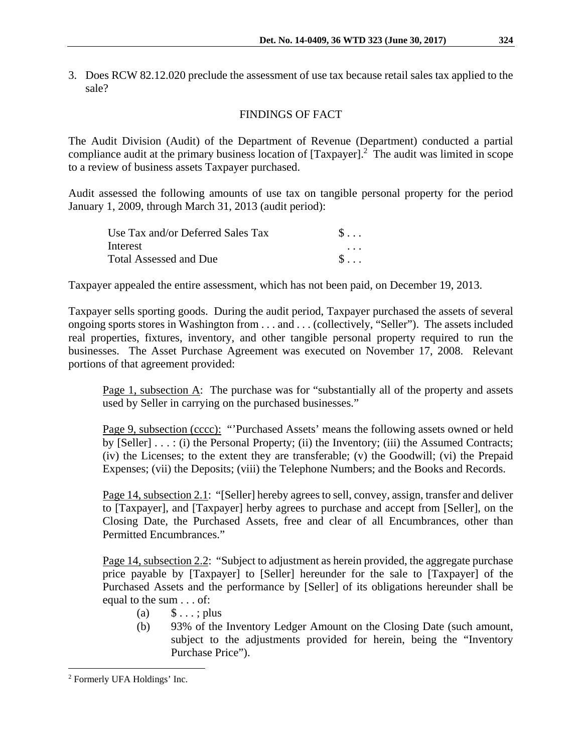3. Does RCW 82.12.020 preclude the assessment of use tax because retail sales tax applied to the sale?

# FINDINGS OF FACT

The Audit Division (Audit) of the Department of Revenue (Department) conducted a partial compliance audit at the primary business location of  $[Taxpayer]$ <sup>2</sup>. The audit was limited in scope to a review of business assets Taxpayer purchased.

Audit assessed the following amounts of use tax on tangible personal property for the period January 1, 2009, through March 31, 2013 (audit period):

| Use Tax and/or Deferred Sales Tax | $S \ldots$ |
|-----------------------------------|------------|
| Interest                          | $\cdots$   |
| <b>Total Assessed and Due</b>     | $S \ldots$ |

Taxpayer appealed the entire assessment, which has not been paid, on December 19, 2013.

Taxpayer sells sporting goods. During the audit period, Taxpayer purchased the assets of several ongoing sports stores in Washington from . . . and . . . (collectively, "Seller"). The assets included real properties, fixtures, inventory, and other tangible personal property required to run the businesses. The Asset Purchase Agreement was executed on November 17, 2008. Relevant portions of that agreement provided:

Page 1, subsection A: The purchase was for "substantially all of the property and assets used by Seller in carrying on the purchased businesses."

Page 9, subsection (cccc): "'Purchased Assets' means the following assets owned or held by [Seller] . . . : (i) the Personal Property; (ii) the Inventory; (iii) the Assumed Contracts; (iv) the Licenses; to the extent they are transferable; (v) the Goodwill; (vi) the Prepaid Expenses; (vii) the Deposits; (viii) the Telephone Numbers; and the Books and Records.

Page 14, subsection 2.1: "[Seller] hereby agrees to sell, convey, assign, transfer and deliver to [Taxpayer], and [Taxpayer] herby agrees to purchase and accept from [Seller], on the Closing Date, the Purchased Assets, free and clear of all Encumbrances, other than Permitted Encumbrances."

Page 14, subsection 2.2: "Subject to adjustment as herein provided, the aggregate purchase price payable by [Taxpayer] to [Seller] hereunder for the sale to [Taxpayer] of the Purchased Assets and the performance by [Seller] of its obligations hereunder shall be equal to the sum . . . of:

- (a)  $\$\dots; plus$
- (b) 93% of the Inventory Ledger Amount on the Closing Date (such amount, subject to the adjustments provided for herein, being the "Inventory Purchase Price").

1

<sup>2</sup> Formerly UFA Holdings' Inc.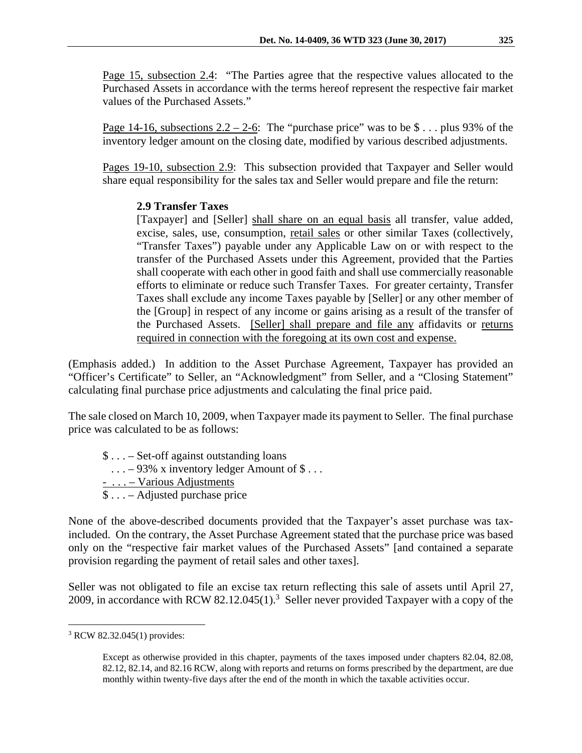Page 15, subsection 2.4: "The Parties agree that the respective values allocated to the Purchased Assets in accordance with the terms hereof represent the respective fair market values of the Purchased Assets."

Page 14-16, subsections  $2.2 - 2$ -6: The "purchase price" was to be \$ . . . plus 93% of the inventory ledger amount on the closing date, modified by various described adjustments.

Pages 19-10, subsection 2.9: This subsection provided that Taxpayer and Seller would share equal responsibility for the sales tax and Seller would prepare and file the return:

## **2.9 Transfer Taxes**

[Taxpayer] and [Seller] shall share on an equal basis all transfer, value added, excise, sales, use, consumption, retail sales or other similar Taxes (collectively, "Transfer Taxes") payable under any Applicable Law on or with respect to the transfer of the Purchased Assets under this Agreement, provided that the Parties shall cooperate with each other in good faith and shall use commercially reasonable efforts to eliminate or reduce such Transfer Taxes. For greater certainty, Transfer Taxes shall exclude any income Taxes payable by [Seller] or any other member of the [Group] in respect of any income or gains arising as a result of the transfer of the Purchased Assets. [Seller] shall prepare and file any affidavits or returns required in connection with the foregoing at its own cost and expense.

(Emphasis added.) In addition to the Asset Purchase Agreement, Taxpayer has provided an "Officer's Certificate" to Seller, an "Acknowledgment" from Seller, and a "Closing Statement" calculating final purchase price adjustments and calculating the final price paid.

The sale closed on March 10, 2009, when Taxpayer made its payment to Seller. The final purchase price was calculated to be as follows:

- \$ . . . Set-off against outstanding loans
- $\ldots$  93% x inventory ledger Amount of \$ $\ldots$
- . . . Various Adjustments
- \$ . . . Adjusted purchase price

None of the above-described documents provided that the Taxpayer's asset purchase was taxincluded. On the contrary, the Asset Purchase Agreement stated that the purchase price was based only on the "respective fair market values of the Purchased Assets" [and contained a separate provision regarding the payment of retail sales and other taxes].

Seller was not obligated to file an excise tax return reflecting this sale of assets until April 27, 2009, in accordance with RCW 82.12.045 $(1)$ .<sup>3</sup> Seller never provided Taxpayer with a copy of the

 $\overline{a}$ 3 RCW 82.32.045(1) provides:

Except as otherwise provided in this chapter, payments of the taxes imposed under chapters 82.04, 82.08, 82.12, 82.14, and 82.16 RCW, along with reports and returns on forms prescribed by the department, are due monthly within twenty-five days after the end of the month in which the taxable activities occur.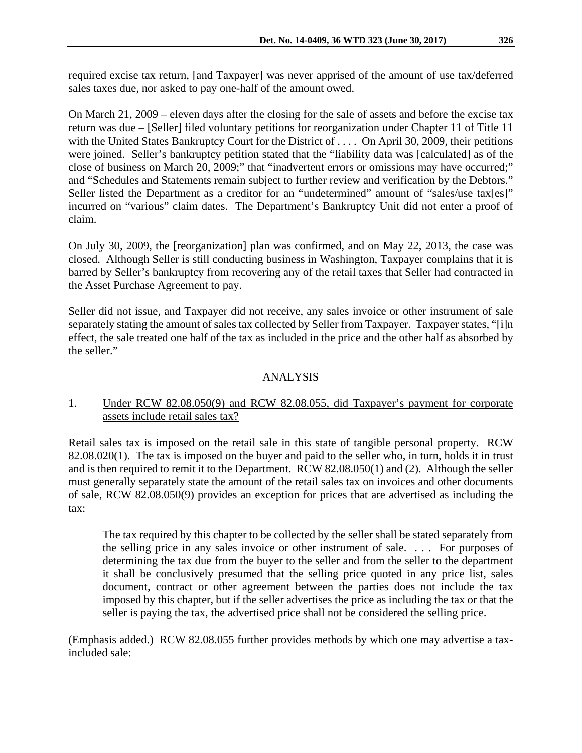required excise tax return, [and Taxpayer] was never apprised of the amount of use tax/deferred sales taxes due, nor asked to pay one-half of the amount owed.

On March 21, 2009 – eleven days after the closing for the sale of assets and before the excise tax return was due – [Seller] filed voluntary petitions for reorganization under Chapter 11 of Title 11 with the United States Bankruptcy Court for the District of . . . . On April 30, 2009, their petitions were joined. Seller's bankruptcy petition stated that the "liability data was [calculated] as of the close of business on March 20, 2009;" that "inadvertent errors or omissions may have occurred;" and "Schedules and Statements remain subject to further review and verification by the Debtors." Seller listed the Department as a creditor for an "undetermined" amount of "sales/use tax[es]" incurred on "various" claim dates. The Department's Bankruptcy Unit did not enter a proof of claim.

On July 30, 2009, the [reorganization] plan was confirmed, and on May 22, 2013, the case was closed. Although Seller is still conducting business in Washington, Taxpayer complains that it is barred by Seller's bankruptcy from recovering any of the retail taxes that Seller had contracted in the Asset Purchase Agreement to pay.

Seller did not issue, and Taxpayer did not receive, any sales invoice or other instrument of sale separately stating the amount of sales tax collected by Seller from Taxpayer. Taxpayer states, "[i]n effect, the sale treated one half of the tax as included in the price and the other half as absorbed by the seller."

# ANALYSIS

## 1. Under RCW 82.08.050(9) and RCW 82.08.055, did Taxpayer's payment for corporate assets include retail sales tax?

Retail sales tax is imposed on the retail sale in this state of tangible personal property. RCW 82.08.020(1). The tax is imposed on the buyer and paid to the seller who, in turn, holds it in trust and is then required to remit it to the Department. RCW 82.08.050(1) and (2). Although the seller must generally separately state the amount of the retail sales tax on invoices and other documents of sale, RCW 82.08.050(9) provides an exception for prices that are advertised as including the tax:

The tax required by this chapter to be collected by the seller shall be stated separately from the selling price in any sales invoice or other instrument of sale. . . . For purposes of determining the tax due from the buyer to the seller and from the seller to the department it shall be conclusively presumed that the selling price quoted in any price list, sales document, contract or other agreement between the parties does not include the tax imposed by this chapter, but if the seller advertises the price as including the tax or that the seller is paying the tax, the advertised price shall not be considered the selling price.

(Emphasis added.) RCW 82.08.055 further provides methods by which one may advertise a taxincluded sale: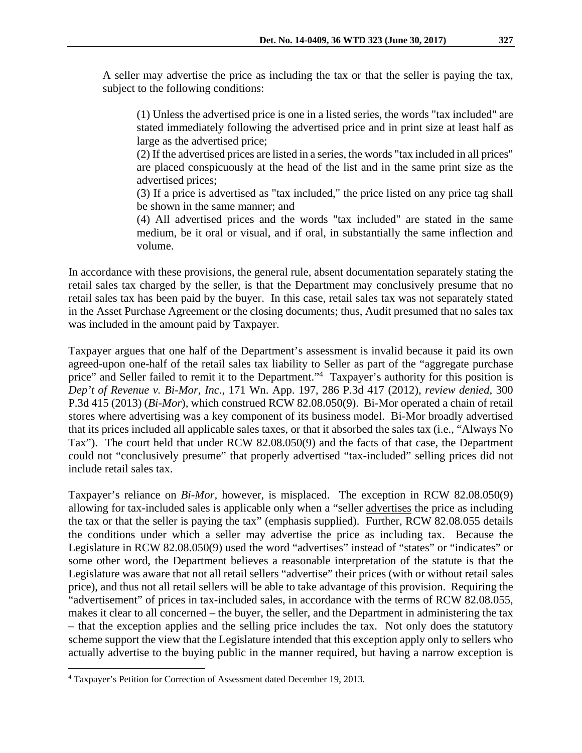A seller may advertise the price as including the tax or that the seller is paying the tax, subject to the following conditions:

(1) Unless the advertised price is one in a listed series, the words "tax included" are stated immediately following the advertised price and in print size at least half as large as the advertised price;

(2) If the advertised prices are listed in a series, the words "tax included in all prices" are placed conspicuously at the head of the list and in the same print size as the advertised prices;

(3) If a price is advertised as "tax included," the price listed on any price tag shall be shown in the same manner; and

(4) All advertised prices and the words "tax included" are stated in the same medium, be it oral or visual, and if oral, in substantially the same inflection and volume.

In accordance with these provisions, the general rule, absent documentation separately stating the retail sales tax charged by the seller, is that the Department may conclusively presume that no retail sales tax has been paid by the buyer. In this case, retail sales tax was not separately stated in the Asset Purchase Agreement or the closing documents; thus, Audit presumed that no sales tax was included in the amount paid by Taxpayer.

Taxpayer argues that one half of the Department's assessment is invalid because it paid its own agreed-upon one-half of the retail sales tax liability to Seller as part of the "aggregate purchase price" and Seller failed to remit it to the Department."<sup>4</sup> Taxpayer's authority for this position is *Dep't of Revenue v. Bi-Mor, Inc*., 171 Wn. App. 197, 286 P.3d 417 (2012), *review denied,* 300 P.3d 415 (2013) (*Bi-Mor*)*,* which construed RCW 82.08.050(9). Bi-Mor operated a chain of retail stores where advertising was a key component of its business model. Bi-Mor broadly advertised that its prices included all applicable sales taxes, or that it absorbed the sales tax (i.e., "Always No Tax"). The court held that under RCW 82.08.050(9) and the facts of that case, the Department could not "conclusively presume" that properly advertised "tax-included" selling prices did not include retail sales tax.

Taxpayer's reliance on *Bi-Mor,* however, is misplaced. The exception in RCW 82.08.050(9) allowing for tax-included sales is applicable only when a "seller advertises the price as including the tax or that the seller is paying the tax" (emphasis supplied). Further, RCW 82.08.055 details the conditions under which a seller may advertise the price as including tax. Because the Legislature in RCW 82.08.050(9) used the word "advertises" instead of "states" or "indicates" or some other word, the Department believes a reasonable interpretation of the statute is that the Legislature was aware that not all retail sellers "advertise" their prices (with or without retail sales price), and thus not all retail sellers will be able to take advantage of this provision. Requiring the "advertisement" of prices in tax-included sales, in accordance with the terms of RCW 82.08.055, makes it clear to all concerned – the buyer, the seller, and the Department in administering the tax – that the exception applies and the selling price includes the tax. Not only does the statutory scheme support the view that the Legislature intended that this exception apply only to sellers who actually advertise to the buying public in the manner required, but having a narrow exception is

1

<sup>4</sup> Taxpayer's Petition for Correction of Assessment dated December 19, 2013.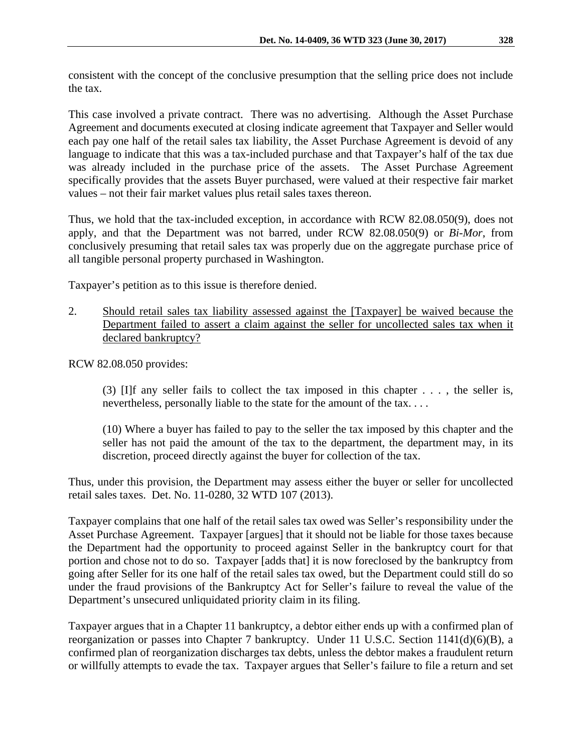consistent with the concept of the conclusive presumption that the selling price does not include the tax.

This case involved a private contract. There was no advertising. Although the Asset Purchase Agreement and documents executed at closing indicate agreement that Taxpayer and Seller would each pay one half of the retail sales tax liability, the Asset Purchase Agreement is devoid of any language to indicate that this was a tax-included purchase and that Taxpayer's half of the tax due was already included in the purchase price of the assets. The Asset Purchase Agreement specifically provides that the assets Buyer purchased, were valued at their respective fair market values – not their fair market values plus retail sales taxes thereon.

Thus, we hold that the tax-included exception, in accordance with RCW 82.08.050(9), does not apply, and that the Department was not barred, under RCW 82.08.050(9) or *Bi-Mor*, from conclusively presuming that retail sales tax was properly due on the aggregate purchase price of all tangible personal property purchased in Washington.

Taxpayer's petition as to this issue is therefore denied.

2. Should retail sales tax liability assessed against the [Taxpayer] be waived because the Department failed to assert a claim against the seller for uncollected sales tax when it declared bankruptcy?

RCW 82.08.050 provides:

(3) [I]f any seller fails to collect the tax imposed in this chapter . . . , the seller is, nevertheless, personally liable to the state for the amount of the tax. . . .

(10) Where a buyer has failed to pay to the seller the tax imposed by this chapter and the seller has not paid the amount of the tax to the department, the department may, in its discretion, proceed directly against the buyer for collection of the tax.

Thus, under this provision, the Department may assess either the buyer or seller for uncollected retail sales taxes. Det. No. 11-0280, 32 WTD 107 (2013).

Taxpayer complains that one half of the retail sales tax owed was Seller's responsibility under the Asset Purchase Agreement. Taxpayer [argues] that it should not be liable for those taxes because the Department had the opportunity to proceed against Seller in the bankruptcy court for that portion and chose not to do so. Taxpayer [adds that] it is now foreclosed by the bankruptcy from going after Seller for its one half of the retail sales tax owed, but the Department could still do so under the fraud provisions of the Bankruptcy Act for Seller's failure to reveal the value of the Department's unsecured unliquidated priority claim in its filing.

Taxpayer argues that in a Chapter 11 bankruptcy, a debtor either ends up with a confirmed plan of reorganization or passes into Chapter 7 bankruptcy. Under 11 U.S.C. Section 1141(d)(6)(B), a confirmed plan of reorganization discharges tax debts, unless the debtor makes a fraudulent return or willfully attempts to evade the tax. Taxpayer argues that Seller's failure to file a return and set